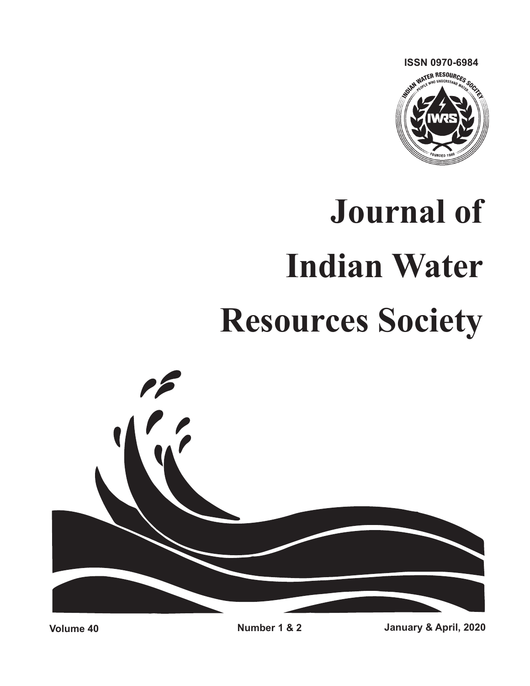

# **Journal of Indian Water Resources Society**

**Volume 40 Number 1 & 2 January & April, 2020**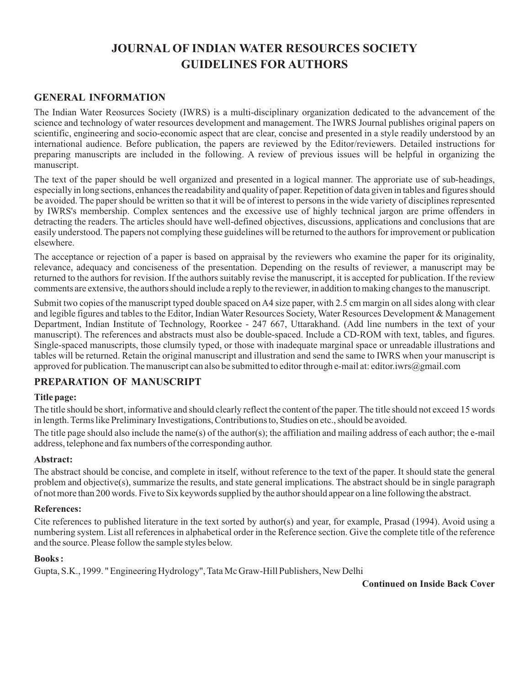### **JOURNAL OF INDIAN WATER RESOURCES SOCIETY GUIDELINES FOR AUTHORS**

### **GENERAL INFORMATION**

The Indian Water Reosurces Society (IWRS) is a multi-disciplinary organization dedicated to the advancement of the science and technology of water resources development and management. The IWRS Journal publishes original papers on scientific, engineering and socio-economic aspect that are clear, concise and presented in a style readily understood by an international audience. Before publication, the papers are reviewed by the Editor/reviewers. Detailed instructions for preparing manuscripts are included in the following. A review of previous issues will be helpful in organizing the manuscript.

The text of the paper should be well organized and presented in a logical manner. The approriate use of sub-headings, especially in long sections, enhances the readability and quality of paper. Repetition of data given in tables and figures should be avoided. The paper should be written so that it will be of interest to persons in the wide variety of disciplines represented by IWRS's membership. Complex sentences and the excessive use of highly technical jargon are prime offenders in detracting the readers. The articles should have well-defined objectives, discussions, applications and conclusions that are easily understood. The papers not complying these guidelines will be returned to the authors for improvement or publication elsewhere.

The acceptance or rejection of a paper is based on appraisal by the reviewers who examine the paper for its originality, relevance, adequacy and conciseness of the presentation. Depending on the results of reviewer, a manuscript may be returned to the authors for revision. If the authors suitably revise the manuscript, it is accepted for publication. If the review comments are extensive, the authors should include a reply to the reviewer, in addition to making changes to the manuscript.

Submit two copies of the manuscript typed double spaced on A4 size paper, with 2.5 cm margin on all sides along with clear and legible figures and tables to the Editor, Indian Water Resources Society, Water Resources Development & Management Department, Indian Institute of Technology, Roorkee - 247 667, Uttarakhand. (Add line numbers in the text of your manuscript). The references and abstracts must also be double-spaced. Include a CD-ROM with text, tables, and figures. Single-spaced manuscripts, those clumsily typed, or those with inadequate marginal space or unreadable illustrations and tables will be returned. Retain the original manuscript and illustration and send the same to IWRS when your manuscript is approved for publication. The manuscript can also be submitted to editor through e-mail at: editor.iwrs@gmail.com

### **PREPARATION OF MANUSCRIPT**

### **Title page:**

The title should be short, informative and should clearly reflect the content of the paper. The title should not exceed 15 words in length. Terms like Preliminary Investigations, Contributions to, Studies on etc., should be avoided.

The title page should also include the name(s) of the author(s); the affiliation and mailing address of each author; the e-mail address, telephone and fax numbers of the corresponding author.

### **Abstract:**

The abstract should be concise, and complete in itself, without reference to the text of the paper. It should state the general problem and objective(s), summarize the results, and state general implications. The abstract should be in single paragraph of not more than 200 words. Five to Six keywords supplied by the author should appear on a line following the abstract.

### **References:**

Cite references to published literature in the text sorted by author(s) and year, for example, Prasad (1994). Avoid using a numbering system. List all references in alphabetical order in the Reference section. Give the complete title of the reference and the source. Please follow the sample styles below.

### **Books :**

Gupta, S.K., 1999. " Engineering Hydrology", Tata Mc Graw-Hill Publishers, New Delhi

**Continued on Inside Back Cover**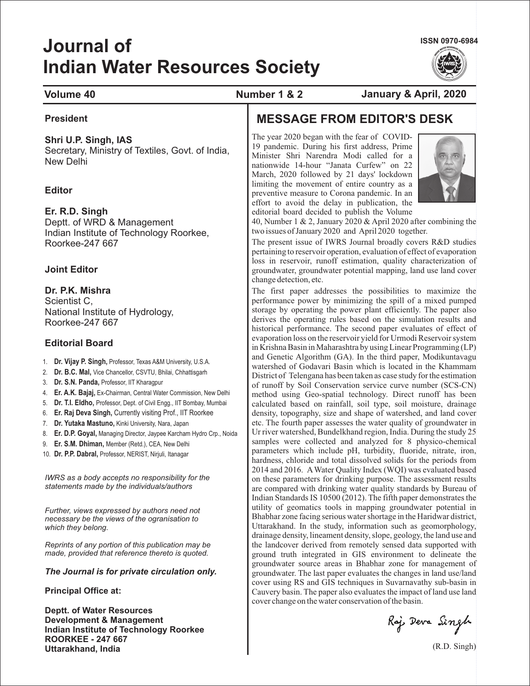# **Journal of Indian Water Resources Society**

**ISSN 0970-6984**



### **Volume 40 Number 1 & 2 January & April, 2020**

### **President**

### **Shri U.P. Singh, IAS**

Secretary, Ministry of Textiles, Govt. of India, New Delhi

### **Editor**

### **Er. R.D. Singh**

Deptt. of WRD & Management Indian Institute of Technology Roorkee, Roorkee-247 667

### **Joint Editor**

### **Dr. P.K. Mishra**

Scientist C, National Institute of Hydrology, Roorkee-247 667

### **Editorial Board**

- 1. Dr. Vijay P. Singh, Professor, Texas A&M University, U.S.A.
- 2. Dr. B.C. Mal, Vice Chancellor, CSVTU, Bhilai, Chhattisgarh
- 3. Dr. S.N. Panda, Professor, IIT Kharagpur
- 4. Ex-Chairman, Central Water Commission, New Delhi **Er. A.K. Bajaj,**
- 5. Dr. T.I. Eldho, Professor, Dept. of Civil Engg., IIT Bombay, Mumbai
- 6. **Er. Raj Deva Singh,** Currently visiting Prof., IIT Roorkee
- 7. Dr. Yutaka Mastuno, Kinki University, Nara, Japan
- 8. **Er. D.P. Goyal, Managing Director, Jaypee Karcham Hydro Crp., Noida**
- 9. **Er. S.M. Dhiman, Member (Retd.), CEA, New Delhi**
- 10. Dr. P.P. Dabral, Professor, NERIST, Nirjuli, Itanagar

*IWRS as a body accepts no responsibility for the statements made by the individuals/authors*

*Further, views expressed by authors need not necessary be the views of the ogranisation to which they belong.*

*Reprints of any portion of this publication may be made, provided that reference thereto is quoted.*

### *The Journal is for private circulation only.*

**Principal Office at:**

**Deptt. of Water Resources Development & Management Indian Institute of Technology Roorkee ROORKEE - 247 667 Uttarakhand, India**

## **MESSAGE FROM EDITOR'S DESK**

The year 2020 began with the fear of COVID-19 pandemic. During his first address, Prime Minister Shri Narendra Modi called for a nationwide 14-hour "Janata Curfew" on 22 March, 2020 followed by 21 days' lockdown limiting the movement of entire country as a preventive measure to Corona pandemic. In an effort to avoid the delay in publication, the editorial board decided to publish the Volume



40, Number 1 & 2, January 2020 & April 2020 after combining the two issues of January 2020 and April 2020 together.

The present issue of IWRS Journal broadly covers R&D studies pertaining to reservoir operation, evaluation of effect of evaporation loss in reservoir, runoff estimation, quality characterization of groundwater, groundwater potential mapping, land use land cover change detection, etc.

The first paper addresses the possibilities to maximize the performance power by minimizing the spill of a mixed pumped storage by operating the power plant efficiently. The paper also derives the operating rules based on the simulation results and historical performance. The second paper evaluates of effect of evaporation loss on the reservoir yield for Urmodi Reservoir system in Krishna Basin in Maharashtra by using Linear Programming (LP) and Genetic Algorithm (GA). In the third paper, Modikuntavagu watershed of Godavari Basin which is located in the Khammam District of Telengana has been taken as case study for the estimation of runoff by Soil Conservation service curve number (SCS-CN) method using Geo-spatial technology. Direct runoff has been calculated based on rainfall, soil type, soil moisture, drainage density, topography, size and shape of watershed, and land cover etc. The fourth paper assesses the water quality of groundwater in Ur river watershed, Bundelkhand region, India. During the study 25 samples were collected and analyzed for 8 physico-chemical parameters which include pH, turbidity, fluoride, nitrate, iron, hardness, chloride and total dissolved solids for the periods from 2014 and 2016. AWater Quality Index (WQI) was evaluated based on these parameters for drinking purpose. The assessment results are compared with drinking water quality standards by Bureau of Indian Standards IS 10500 (2012). The fifth paper demonstrates the utility of geomatics tools in mapping groundwater potential in Bhabhar zone facing serious water shortage in the Haridwar district, Uttarakhand. In the study, information such as geomorphology, drainage density, lineament density, slope, geology, the land use and the landcover derived from remotely sensed data supported with ground truth integrated in GIS environment to delineate the groundwater source areas in Bhabhar zone for management of groundwater. The last paper evaluates the changes in land use/land cover using RS and GIS techniques in Suvarnavathy sub-basin in Cauvery basin. The paper also evaluates the impact of land use land cover change on the water conservation of the basin.

Raj Deva Singh

(R.D. Singh)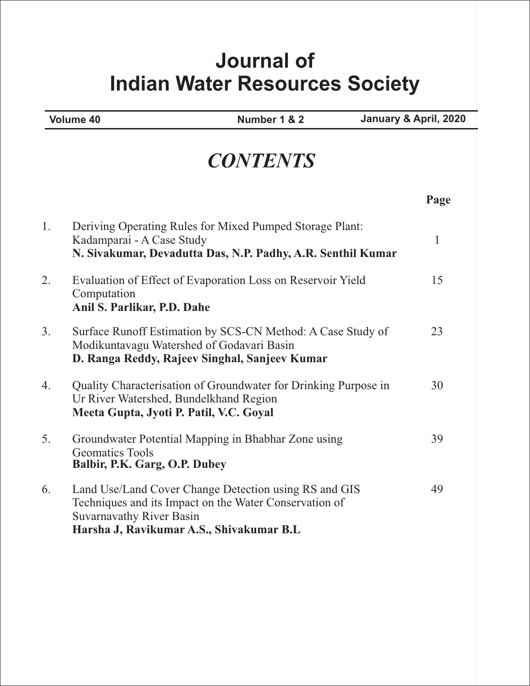# **Journal of Indian Water Resources Society**

**Volume 40 Number 1 & 2 January & April, 2020**

|    | <b>CONTENTS</b>                                                                                                                                                                                |              |
|----|------------------------------------------------------------------------------------------------------------------------------------------------------------------------------------------------|--------------|
|    |                                                                                                                                                                                                | Page         |
| 1. | Deriving Operating Rules for Mixed Pumped Storage Plant:<br>Kadamparai - A Case Study<br>N. Sivakumar, Devadutta Das, N.P. Padhy, A.R. Senthil Kumar                                           | $\mathbf{1}$ |
| 2. | Evaluation of Effect of Evaporation Loss on Reservoir Yield<br>Computation<br>Anil S. Parlikar, P.D. Dahe                                                                                      | 15           |
| 3. | Surface Runoff Estimation by SCS-CN Method: A Case Study of<br>Modikuntavagu Watershed of Godavari Basin<br>D. Ranga Reddy, Rajeev Singhal, Sanjeev Kumar                                      | 23           |
| 4. | Quality Characterisation of Groundwater for Drinking Purpose in<br>Ur River Watershed, Bundelkhand Region<br>Meeta Gupta, Jyoti P. Patil, V.C. Goyal                                           | 30           |
| 5. | Groundwater Potential Mapping in Bhabhar Zone using<br><b>Geomatics Tools</b><br>Balbir, P.K. Garg, O.P. Dubey                                                                                 | 39           |
| 6. | Land Use/Land Cover Change Detection using RS and GIS<br>Techniques and its Impact on the Water Conservation of<br><b>Suvarnavathy River Basin</b><br>Harsha J, Ravikumar A.S., Shivakumar B.L | 49           |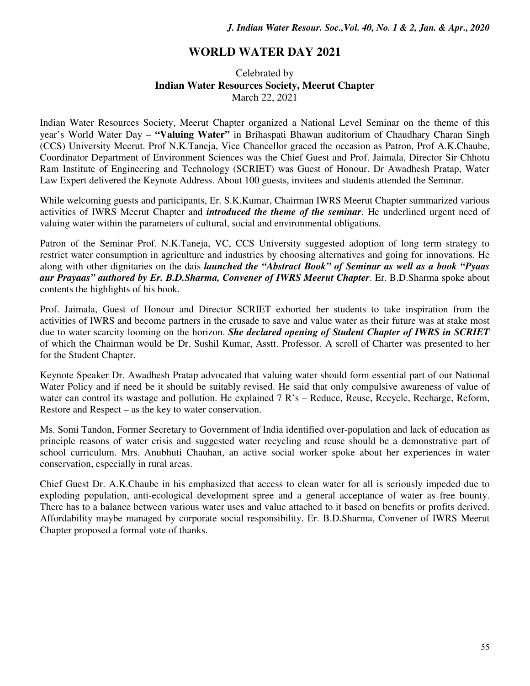### **WORLD WATER DAY 2021**

### Celebrated by **Indian Water Resources Society, Meerut Chapter**  March 22, 2021

Indian Water Resources Society, Meerut Chapter organized a National Level Seminar on the theme of this year's World Water Day – **"Valuing Water"** in Brihaspati Bhawan auditorium of Chaudhary Charan Singh (CCS) University Meerut. Prof N.K.Taneja, Vice Chancellor graced the occasion as Patron, Prof A.K.Chaube, Coordinator Department of Environment Sciences was the Chief Guest and Prof. Jaimala, Director Sir Chhotu Ram Institute of Engineering and Technology (SCRIET) was Guest of Honour. Dr Awadhesh Pratap, Water Law Expert delivered the Keynote Address. About 100 guests, invitees and students attended the Seminar.

While welcoming guests and participants, Er. S.K.Kumar, Chairman IWRS Meerut Chapter summarized various activities of IWRS Meerut Chapter and *introduced the theme of the seminar*. He underlined urgent need of valuing water within the parameters of cultural, social and environmental obligations.

Patron of the Seminar Prof. N.K.Taneja, VC, CCS University suggested adoption of long term strategy to restrict water consumption in agriculture and industries by choosing alternatives and going for innovations. He along with other dignitaries on the dais *launched the "Abstract Book" of Seminar as well as a book "Pyaas aur Prayaas" authored by Er. B.D.Sharma, Convener of IWRS Meerut Chapter*. Er. B.D.Sharma spoke about contents the highlights of his book.

Prof. Jaimala, Guest of Honour and Director SCRIET exhorted her students to take inspiration from the activities of IWRS and become partners in the crusade to save and value water as their future was at stake most due to water scarcity looming on the horizon. *She declared opening of Student Chapter of IWRS in SCRIET* of which the Chairman would be Dr. Sushil Kumar, Asstt. Professor. A scroll of Charter was presented to her for the Student Chapter.

Keynote Speaker Dr. Awadhesh Pratap advocated that valuing water should form essential part of our National Water Policy and if need be it should be suitably revised. He said that only compulsive awareness of value of water can control its wastage and pollution. He explained 7 R's – Reduce, Reuse, Recycle, Recharge, Reform, Restore and Respect – as the key to water conservation.

Ms. Somi Tandon, Former Secretary to Government of India identified over-population and lack of education as principle reasons of water crisis and suggested water recycling and reuse should be a demonstrative part of school curriculum. Mrs. Anubhuti Chauhan, an active social worker spoke about her experiences in water conservation, especially in rural areas.

Chief Guest Dr. A.K.Chaube in his emphasized that access to clean water for all is seriously impeded due to exploding population, anti-ecological development spree and a general acceptance of water as free bounty. There has to a balance between various water uses and value attached to it based on benefits or profits derived. Affordability maybe managed by corporate social responsibility. Er. B.D.Sharma, Convener of IWRS Meerut Chapter proposed a formal vote of thanks.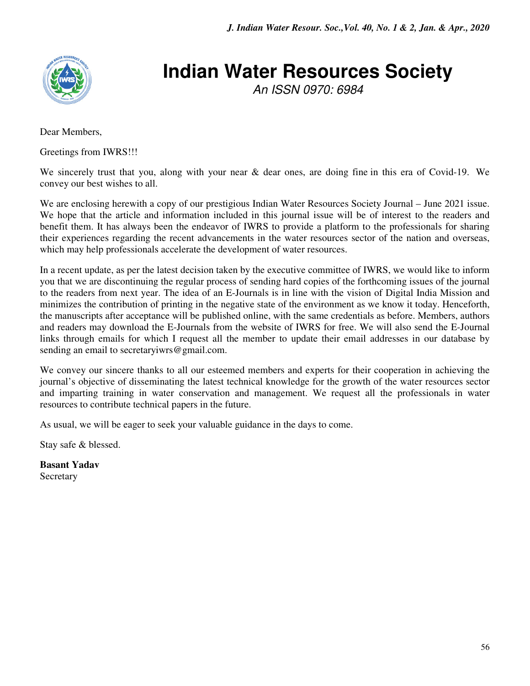

# **Indian Water Resources Society**

An ISSN 0970: 6984

Dear Members,

Greetings from IWRS!!!

We sincerely trust that you, along with your near & dear ones, are doing fine in this era of Covid-19. We convey our best wishes to all.

We are enclosing herewith a copy of our prestigious Indian Water Resources Society Journal – June 2021 issue. We hope that the article and information included in this journal issue will be of interest to the readers and benefit them. It has always been the endeavor of IWRS to provide a platform to the professionals for sharing their experiences regarding the recent advancements in the water resources sector of the nation and overseas, which may help professionals accelerate the development of water resources.

In a recent update, as per the latest decision taken by the executive committee of IWRS, we would like to inform you that we are discontinuing the regular process of sending hard copies of the forthcoming issues of the journal to the readers from next year. The idea of an E-Journals is in line with the vision of Digital India Mission and minimizes the contribution of printing in the negative state of the environment as we know it today. Henceforth, the manuscripts after acceptance will be published online, with the same credentials as before. Members, authors and readers may download the E-Journals from the website of IWRS for free. We will also send the E-Journal links through emails for which I request all the member to update their email addresses in our database by sending an email to secretary iwrs@gmail.com.

We convey our sincere thanks to all our esteemed members and experts for their cooperation in achieving the journal's objective of disseminating the latest technical knowledge for the growth of the water resources sector and imparting training in water conservation and management. We request all the professionals in water resources to contribute technical papers in the future.

As usual, we will be eager to seek your valuable guidance in the days to come.

Stay safe & blessed.

**Basant Yadav** Secretary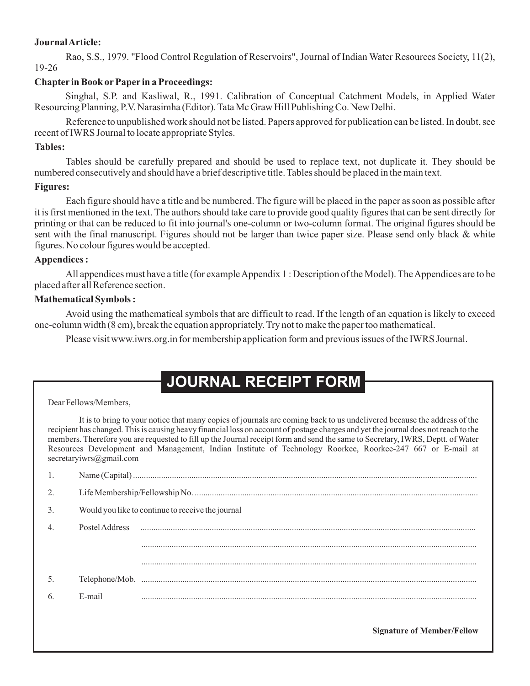### **JournalArticle:**

Rao, S.S., 1979. "Flood Control Regulation of Reservoirs", Journal of Indian Water Resources Society, 11(2), 19-26

### **Chapter in Book or Paper in a Proceedings:**

Singhal, S.P. and Kasliwal, R., 1991. Calibration of Conceptual Catchment Models, in Applied Water Resourcing Planning, P.V. Narasimha (Editor). Tata Mc Graw Hill Publishing Co. New Delhi.

Reference to unpublished work should not be listed. Papers approved for publication can be listed. In doubt, see recent of IWRS Journal to locate appropriate Styles.

### **Tables:**

Tables should be carefully prepared and should be used to replace text, not duplicate it. They should be numbered consecutively and should have a brief descriptive title. Tables should be placed in the main text.

### **Figures:**

Each figure should have a title and be numbered. The figure will be placed in the paper as soon as possible after it is first mentioned in the text. The authors should take care to provide good quality figures that can be sent directly for printing or that can be reduced to fit into journal's one-column or two-column format. The original figures should be sent with the final manuscript. Figures should not be larger than twice paper size. Please send only black & white figures. No colour figures would be accepted.

### **Appendices :**

All appendices must have a title (for example Appendix 1 : Description of the Model). The Appendices are to be placed after all Reference section.

### **Mathematical Symbols :**

Avoid using the mathematical symbols that are difficult to read. If the length of an equation is likely to exceed one-column width (8 cm), break the equation appropriately. Try not to make the paper too mathematical.

Please visit www.iwrs.org.in for membership application form and previous issues of the IWRS Journal.

# **JOURNAL RECEIPT FORM**

Dear Fellows/Members,

It is to bring to your notice that many copies of journals are coming back to us undelivered because the address of the recipient has changed. This is causing heavy financial loss on account of postage charges and yet the journal does not reach to the members. Therefore you are requested to fill up the Journal receipt form and send the same to Secretary, IWRS, Deptt. of Water Resources Development and Management, Indian Institute of Technology Roorkee, Roorkee-247 667 or E-mail at secretaryiwrs@gmail.com

| 2.               |                |                                                   |
|------------------|----------------|---------------------------------------------------|
| 3.               |                | Would you like to continue to receive the journal |
| $\overline{4}$ . | Postel Address |                                                   |
|                  |                |                                                   |
|                  |                |                                                   |
| 5.               |                |                                                   |
| 6.               | E-mail         |                                                   |
|                  |                |                                                   |

**Signature of Member/Fellow**